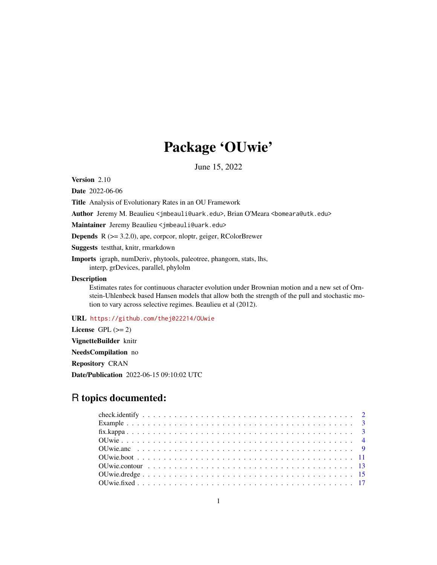## Package 'OUwie'

June 15, 2022

Version 2.10

Date 2022-06-06

Title Analysis of Evolutionary Rates in an OU Framework

Author Jeremy M. Beaulieu <jmbeauli@uark.edu>, Brian O'Meara <bomeara@utk.edu>

Maintainer Jeremy Beaulieu <jmbeauli@uark.edu>

Depends R (>= 3.2.0), ape, corpcor, nloptr, geiger, RColorBrewer

Suggests testthat, knitr, rmarkdown

Imports igraph, numDeriv, phytools, paleotree, phangorn, stats, lhs, interp, grDevices, parallel, phylolm

## Description

Estimates rates for continuous character evolution under Brownian motion and a new set of Ornstein-Uhlenbeck based Hansen models that allow both the strength of the pull and stochastic motion to vary across selective regimes. Beaulieu et al (2012).

## URL <https://github.com/thej022214/OUwie>

License GPL  $(>= 2)$ VignetteBuilder knitr NeedsCompilation no Repository CRAN Date/Publication 2022-06-15 09:10:02 UTC

## R topics documented: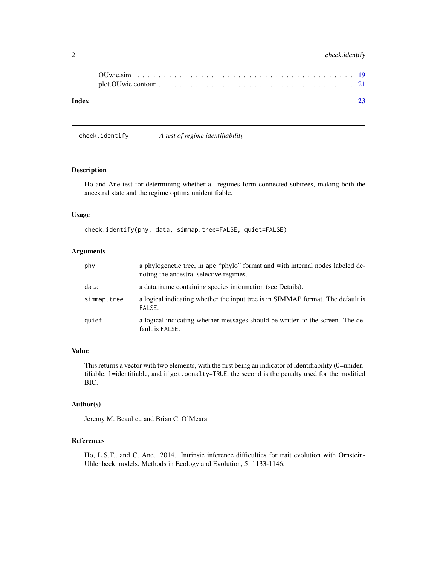## <span id="page-1-0"></span>2 check.identify

| Index | 23 |
|-------|----|

check.identify *A test of regime identifiability*

## Description

Ho and Ane test for determining whether all regimes form connected subtrees, making both the ancestral state and the regime optima unidentifiable.

#### Usage

check.identify(phy, data, simmap.tree=FALSE, quiet=FALSE)

## Arguments

| phy         | a phylogenetic tree, in ape "phylo" format and with internal nodes labeled de-<br>noting the ancestral selective regimes. |
|-------------|---------------------------------------------------------------------------------------------------------------------------|
| data        | a data frame containing species information (see Details).                                                                |
| simmap.tree | a logical indicating whether the input tree is in SIMMAP format. The default is<br>FALSE.                                 |
| quiet       | a logical indicating whether messages should be written to the screen. The de-<br>fault is FALSE.                         |

#### Value

This returns a vector with two elements, with the first being an indicator of identifiability (0=unidentifiable, 1=identifiable, and if get.penalty=TRUE, the second is the penalty used for the modified BIC.

## Author(s)

Jeremy M. Beaulieu and Brian C. O'Meara

## References

Ho, L.S.T., and C. Ane. 2014. Intrinsic inference difficulties for trait evolution with Ornstein-Uhlenbeck models. Methods in Ecology and Evolution, 5: 1133-1146.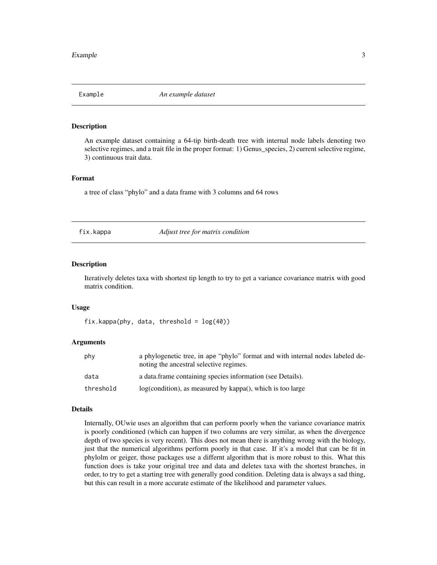<span id="page-2-0"></span>

#### Description

An example dataset containing a 64-tip birth-death tree with internal node labels denoting two selective regimes, and a trait file in the proper format: 1) Genus\_species, 2) current selective regime, 3) continuous trait data.

#### Format

a tree of class "phylo" and a data frame with 3 columns and 64 rows

fix.kappa *Adjust tree for matrix condition*

#### Description

Iteratively deletes taxa with shortest tip length to try to get a variance covariance matrix with good matrix condition.

#### Usage

 $fix.kappa(phy, data, threshold = log(40))$ 

#### Arguments

| phy       | a phylogenetic tree, in ape "phylo" format and with internal nodes labeled de-<br>noting the ancestral selective regimes. |
|-----------|---------------------------------------------------------------------------------------------------------------------------|
| data      | a data frame containing species information (see Details).                                                                |
| threshold | log(condition), as measured by kappa(), which is too large                                                                |

#### Details

Internally, OUwie uses an algorithm that can perform poorly when the variance covariance matrix is poorly conditioned (which can happen if two columns are very similar, as when the divergence depth of two species is very recent). This does not mean there is anything wrong with the biology, just that the numerical algorithms perform poorly in that case. If it's a model that can be fit in phylolm or geiger, those packages use a differnt algorithm that is more robust to this. What this function does is take your original tree and data and deletes taxa with the shortest branches, in order, to try to get a starting tree with generally good condition. Deleting data is always a sad thing, but this can result in a more accurate estimate of the likelihood and parameter values.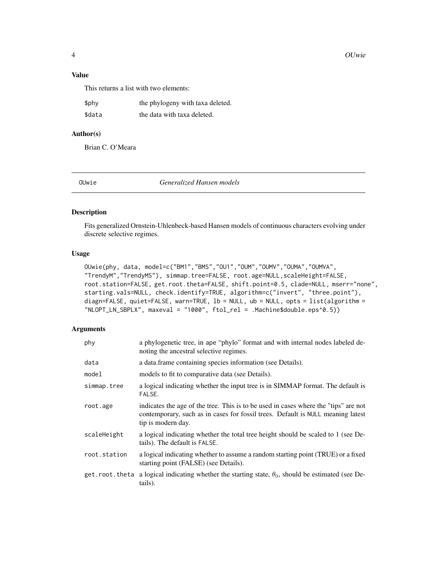<span id="page-3-0"></span>4 OUwie

## Value

This returns a list with two elements:

| \$phy  | the phylogeny with taxa deleted. |
|--------|----------------------------------|
| \$data | the data with taxa deleted.      |

## Author(s)

Brian C. O'Meara

e **Generalized Hansen models** 

#### Description

Fits generalized Ornstein-Uhlenbeck-based Hansen models of continuous characters evolving under discrete selective regimes.

#### Usage

```
OUwie(phy, data, model=c("BM1","BMS","OU1","OUM","OUMV","OUMA","OUMVA",
"TrendyM","TrendyMS"), simmap.tree=FALSE, root.age=NULL,scaleHeight=FALSE,
root.station=FALSE, get.root.theta=FALSE, shift.point=0.5, clade=NULL, mserr="none",
starting.vals=NULL, check.identify=TRUE, algorithm=c("invert", "three.point"),
diagn=FALSE, quiet=FALSE, warn=TRUE, lb = NULL, ub = NULL, opts = list(algorithm =
"NLOPT_LN_SBPLX", maxeval = "1000", ftol_rel = .Machine$double.eps^0.5))
```

| phy            | a phylogenetic tree, in ape "phylo" format and with internal nodes labeled de-<br>noting the ancestral selective regimes.                                                                    |
|----------------|----------------------------------------------------------------------------------------------------------------------------------------------------------------------------------------------|
| data           | a data.frame containing species information (see Details).                                                                                                                                   |
| model          | models to fit to comparative data (see Details).                                                                                                                                             |
| simmap.tree    | a logical indicating whether the input tree is in SIMMAP format. The default is<br>FALSE.                                                                                                    |
| root.age       | indicates the age of the tree. This is to be used in cases where the "tips" are not<br>contemporary, such as in cases for fossil trees. Default is NULL meaning latest<br>tip is modern day. |
| scaleHeight    | a logical indicating whether the total tree height should be scaled to 1 (see De-<br>tails). The default is FALSE.                                                                           |
| root.station   | a logical indicating whether to assume a random starting point (TRUE) or a fixed<br>starting point (FALSE) (see Details).                                                                    |
| get.root.theta | a logical indicating whether the starting state, $\theta_0$ , should be estimated (see De-<br>tails).                                                                                        |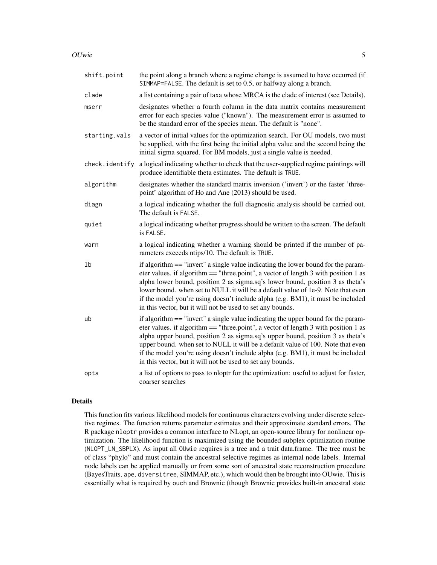#### OUwie 35 September 2006 September 2006 September 2006 September 2006 September 2006 September 2006 September 2006 September 2006 September 2006 September 2006 September 2006 September 2006 September 2006 September 2006 Sep

| shift.point    | the point along a branch where a regime change is assumed to have occurred (if<br>SIMMAP=FALSE. The default is set to 0.5, or halfway along a branch.                                                                                                                                                                                                                                                                                                                                             |
|----------------|---------------------------------------------------------------------------------------------------------------------------------------------------------------------------------------------------------------------------------------------------------------------------------------------------------------------------------------------------------------------------------------------------------------------------------------------------------------------------------------------------|
| clade          | a list containing a pair of taxa whose MRCA is the clade of interest (see Details).                                                                                                                                                                                                                                                                                                                                                                                                               |
| mserr          | designates whether a fourth column in the data matrix contains measurement<br>error for each species value ("known"). The measurement error is assumed to<br>be the standard error of the species mean. The default is "none".                                                                                                                                                                                                                                                                    |
| starting.vals  | a vector of initial values for the optimization search. For OU models, two must<br>be supplied, with the first being the initial alpha value and the second being the<br>initial sigma squared. For BM models, just a single value is needed.                                                                                                                                                                                                                                                     |
| check.identify | a logical indicating whether to check that the user-supplied regime paintings will<br>produce identifiable theta estimates. The default is TRUE.                                                                                                                                                                                                                                                                                                                                                  |
| algorithm      | designates whether the standard matrix inversion ('invert') or the faster 'three-<br>point' algorithm of Ho and Ane (2013) should be used.                                                                                                                                                                                                                                                                                                                                                        |
| diagn          | a logical indicating whether the full diagnostic analysis should be carried out.<br>The default is FALSE.                                                                                                                                                                                                                                                                                                                                                                                         |
| quiet          | a logical indicating whether progress should be written to the screen. The default<br>is FALSE.                                                                                                                                                                                                                                                                                                                                                                                                   |
| warn           | a logical indicating whether a warning should be printed if the number of pa-<br>rameters exceeds ntips/10. The default is TRUE.                                                                                                                                                                                                                                                                                                                                                                  |
| 1b             | if algorithm == "invert" a single value indicating the lower bound for the param-<br>eter values. if algorithm $==$ "three.point", a vector of length 3 with position 1 as<br>alpha lower bound, position 2 as sigma.sq's lower bound, position 3 as theta's<br>lower bound. when set to NULL it will be a default value of 1e-9. Note that even<br>if the model you're using doesn't include alpha (e.g. BM1), it must be included<br>in this vector, but it will not be used to set any bounds. |
| ub             | if algorithm == "invert" a single value indicating the upper bound for the param-<br>eter values. if algorithm $==$ "three point", a vector of length 3 with position 1 as<br>alpha upper bound, position 2 as sigma.sq's upper bound, position 3 as theta's<br>upper bound. when set to NULL it will be a default value of 100. Note that even<br>if the model you're using doesn't include alpha (e.g. BM1), it must be included<br>in this vector, but it will not be used to set any bounds.  |
| opts           | a list of options to pass to nloptr for the optimization: useful to adjust for faster,<br>coarser searches                                                                                                                                                                                                                                                                                                                                                                                        |

## Details

This function fits various likelihood models for continuous characters evolving under discrete selective regimes. The function returns parameter estimates and their approximate standard errors. The R package nloptr provides a common interface to NLopt, an open-source library for nonlinear optimization. The likelihood function is maximized using the bounded subplex optimization routine (NLOPT\_LN\_SBPLX). As input all OUwie requires is a tree and a trait data.frame. The tree must be of class "phylo" and must contain the ancestral selective regimes as internal node labels. Internal node labels can be applied manually or from some sort of ancestral state reconstruction procedure (BayesTraits, ape, diversitree, SIMMAP, etc.), which would then be brought into OUwie. This is essentially what is required by ouch and Brownie (though Brownie provides built-in ancestral state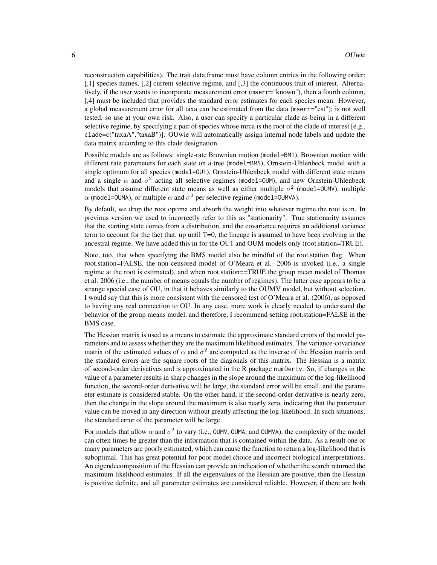reconstruction capabilities). The trait data.frame must have column entries in the following order: [,1] species names, [,2] current selective regime, and [,3] the continuous trait of interest. Alternatively, if the user wants to incorporate measurement error (mserr="known"), then a fourth column, [,4] must be included that provides the standard error estimates for each species mean. However, a global measurement error for all taxa can be estimated from the data (mserr="est"); is not well tested, so use at your own risk. Also, a user can specify a particular clade as being in a different selective regime, by specifying a pair of species whose mrca is the root of the clade of interest [e.g., clade=c("taxaA","taxaB")]. OUwie will automatically assign internal node labels and update the data matrix according to this clade designation.

Possible models are as follows: single-rate Brownian motion (model=BM1), Brownian motion with different rate parameters for each state on a tree (model=BMS), Ornstein-Uhlenbeck model with a single optimum for all species (model=OU1), Ornstein-Uhlenbeck model with different state means and a single  $\alpha$  and  $\sigma^2$  acting all selective regimes (model=OUM), and new Ornstein-Uhlenbeck models that assume different state means as well as either multiple  $\sigma^2$  (model=0UMV), multiple  $\alpha$  (model=OUMA), or multiple  $\alpha$  and  $\sigma^2$  per selective regime (model=OUMVA).

By default, we drop the root optima and absorb the weight into whatever regime the root is in. In previous version we used to incorrectly refer to this as "stationarity". True stationarity assumes that the starting state comes from a distribution, and the covariance requires an additional variance term to account for the fact that, up until T=0, the lineage is assumed to have been evolving in the ancestral regime. We have added this in for the OU1 and OUM models only (root.station=TRUE).

Note, too, that when specifying the BMS model also be mindful of the root.station flag. When root.station=FALSE, the non-censored model of O'Meara et al. 2006 is invoked (i.e., a single regime at the root is estimated), and when root.station==TRUE the group mean model of Thomas et al. 2006 (i.e., the number of means equals the number of regimes). The latter case appears to be a strange special case of OU, in that it behaves similarly to the OUMV model, but without selection. I would say that this is more consistent with the censored test of O'Meara et al. (2006), as opposed to having any real connection to OU. In any case, more work is clearly needed to understand the behavior of the group means model, and therefore, I recommend setting root.station=FALSE in the BMS case.

The Hessian matrix is used as a means to estimate the approximate standard errors of the model parameters and to assess whether they are the maximum likelihood estimates. The variance-covariance matrix of the estimated values of  $\alpha$  and  $\sigma^2$  are computed as the inverse of the Hessian matrix and the standard errors are the square roots of the diagonals of this matrix. The Hessian is a matrix of second-order derivatives and is approximated in the R package numDeriv. So, if changes in the value of a parameter results in sharp changes in the slope around the maximum of the log-likelihood function, the second-order derivative will be large, the standard error will be small, and the parameter estimate is considered stable. On the other hand, if the second-order derivative is nearly zero, then the change in the slope around the maximum is also nearly zero, indicating that the parameter value can be moved in any direction without greatly affecting the log-likelihood. In such situations, the standard error of the parameter will be large.

For models that allow  $\alpha$  and  $\sigma^2$  to vary (i.e., OUMV, OUMA, and OUMVA), the complexity of the model can often times be greater than the information that is contained within the data. As a result one or many parameters are poorly estimated, which can cause the function to return a log-likelihood that is suboptimal. This has great potential for poor model choice and incorrect biological interpretations. An eigendecomposition of the Hessian can provide an indication of whether the search returned the maximum likelihood estimates. If all the eigenvalues of the Hessian are positive, then the Hessian is positive definite, and all parameter estimates are considered reliable. However, if there are both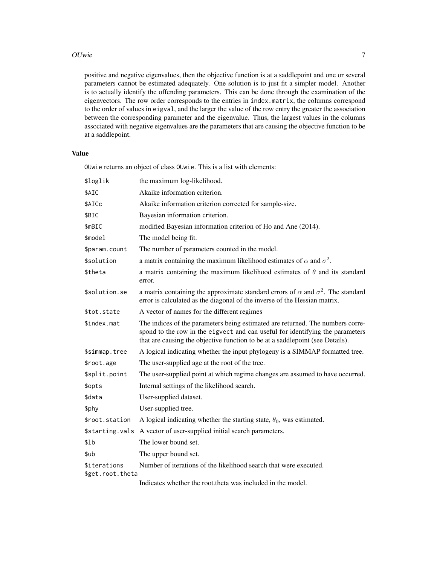#### OUwie 2008 - 2008 - 2008 - 2008 - 2008 - 2008 - 2008 - 2008 - 2008 - 2008 - 2008 - 2008 - 2008 - 2008 - 2008 - 2008 - 2008 - 2008 - 2008 - 2008 - 2008 - 2008 - 2008 - 2008 - 2008 - 2008 - 2008 - 2008 - 2008 - 2008 - 2008 -

positive and negative eigenvalues, then the objective function is at a saddlepoint and one or several parameters cannot be estimated adequately. One solution is to just fit a simpler model. Another is to actually identify the offending parameters. This can be done through the examination of the eigenvectors. The row order corresponds to the entries in index.matrix, the columns correspond to the order of values in eigval, and the larger the value of the row entry the greater the association between the corresponding parameter and the eigenvalue. Thus, the largest values in the columns associated with negative eigenvalues are the parameters that are causing the objective function to be at a saddlepoint.

## Value

OUwie returns an object of class OUwie. This is a list with elements:

| \$loglik                                       | the maximum log-likelihood.                                                                                                                                                                                                                      |
|------------------------------------------------|--------------------------------------------------------------------------------------------------------------------------------------------------------------------------------------------------------------------------------------------------|
| \$AIC                                          | Akaike information criterion.                                                                                                                                                                                                                    |
| \$AICc                                         | Akaike information criterion corrected for sample-size.                                                                                                                                                                                          |
| \$BIC                                          | Bayesian information criterion.                                                                                                                                                                                                                  |
| \$mBIC                                         | modified Bayesian information criterion of Ho and Ane (2014).                                                                                                                                                                                    |
| \$model                                        | The model being fit.                                                                                                                                                                                                                             |
| \$param.count                                  | The number of parameters counted in the model.                                                                                                                                                                                                   |
| \$solution                                     | a matrix containing the maximum likelihood estimates of $\alpha$ and $\sigma^2$ .                                                                                                                                                                |
| \$theta                                        | a matrix containing the maximum likelihood estimates of $\theta$ and its standard<br>error.                                                                                                                                                      |
| \$solution.se                                  | a matrix containing the approximate standard errors of $\alpha$ and $\sigma^2$ . The standard<br>error is calculated as the diagonal of the inverse of the Hessian matrix.                                                                       |
| \$tot.state                                    | A vector of names for the different regimes                                                                                                                                                                                                      |
| \$index.mat                                    | The indices of the parameters being estimated are returned. The numbers corre-<br>spond to the row in the eigvect and can useful for identifying the parameters<br>that are causing the objective function to be at a saddlepoint (see Details). |
| \$simmap.tree                                  | A logical indicating whether the input phylogeny is a SIMMAP formatted tree.                                                                                                                                                                     |
| \$root.age                                     | The user-supplied age at the root of the tree.                                                                                                                                                                                                   |
| \$split.point                                  | The user-supplied point at which regime changes are assumed to have occurred.                                                                                                                                                                    |
| \$opts                                         | Internal settings of the likelihood search.                                                                                                                                                                                                      |
| \$data                                         | User-supplied dataset.                                                                                                                                                                                                                           |
| \$phy                                          | User-supplied tree.                                                                                                                                                                                                                              |
| \$root.station                                 | A logical indicating whether the starting state, $\theta_0$ , was estimated.                                                                                                                                                                     |
| \$starting.vals                                | A vector of user-supplied initial search parameters.                                                                                                                                                                                             |
| \$lb                                           | The lower bound set.                                                                                                                                                                                                                             |
| \$ub                                           | The upper bound set.                                                                                                                                                                                                                             |
| <i><b>\$iterations</b></i><br>\$get.root.theta | Number of iterations of the likelihood search that were executed.                                                                                                                                                                                |
|                                                | Indicates whether the root theta was included in the model.                                                                                                                                                                                      |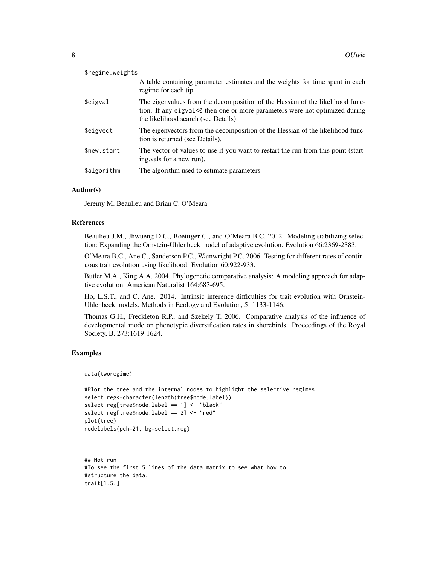| \$regime.weights |                                                                                                                                                                                                      |
|------------------|------------------------------------------------------------------------------------------------------------------------------------------------------------------------------------------------------|
|                  | A table containing parameter estimates and the weights for time spent in each<br>regime for each tip.                                                                                                |
| \$eigval         | The eigenvalues from the decomposition of the Hessian of the likelihood func-<br>tion. If any eigval<0 then one or more parameters were not optimized during<br>the likelihood search (see Details). |
| \$eigvect        | The eigenvectors from the decomposition of the Hessian of the likelihood func-<br>tion is returned (see Details).                                                                                    |
| \$new.start      | The vector of values to use if you want to restart the run from this point (start-<br>ing vals for a new run).                                                                                       |
| \$algorithm      | The algorithm used to estimate parameters                                                                                                                                                            |

#### Author(s)

Jeremy M. Beaulieu and Brian C. O'Meara

## References

Beaulieu J.M., Jhwueng D.C., Boettiger C., and O'Meara B.C. 2012. Modeling stabilizing selection: Expanding the Ornstein-Uhlenbeck model of adaptive evolution. Evolution 66:2369-2383.

O'Meara B.C., Ane C., Sanderson P.C., Wainwright P.C. 2006. Testing for different rates of continuous trait evolution using likelihood. Evolution 60:922-933.

Butler M.A., King A.A. 2004. Phylogenetic comparative analysis: A modeling approach for adaptive evolution. American Naturalist 164:683-695.

Ho, L.S.T., and C. Ane. 2014. Intrinsic inference difficulties for trait evolution with Ornstein-Uhlenbeck models. Methods in Ecology and Evolution, 5: 1133-1146.

Thomas G.H., Freckleton R.P., and Szekely T. 2006. Comparative analysis of the influence of developmental mode on phenotypic diversification rates in shorebirds. Proceedings of the Royal Society, B. 273:1619-1624.

## Examples

data(tworegime)

```
#Plot the tree and the internal nodes to highlight the selective regimes:
select.reg<-character(length(tree$node.label))
select.reg[tree$node.label == 1] <- "black"
select.reg[tree$node.label == 2] <- "red"
plot(tree)
nodelabels(pch=21, bg=select.reg)
```

```
## Not run:
#To see the first 5 lines of the data matrix to see what how to
#structure the data:
trait[1:5,]
```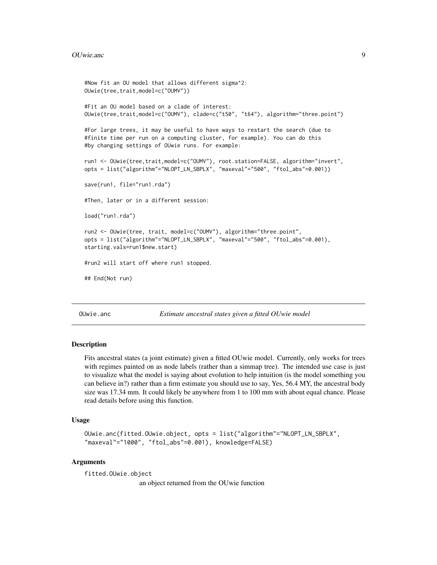```
#Now fit an OU model that allows different sigma^2:
OUwie(tree,trait,model=c("OUMV"))
#Fit an OU model based on a clade of interest:
OUwie(tree,trait,model=c("OUMV"), clade=c("t50", "t64"), algorithm="three.point")
#For large trees, it may be useful to have ways to restart the search (due to
#finite time per run on a computing cluster, for example). You can do this
#by changing settings of OUwie runs. For example:
run1 <- OUwie(tree,trait,model=c("OUMV"), root.station=FALSE, algorithm="invert",
opts = list("algorithm"="NLOPT_LN_SBPLX", "maxeval"="500", "ftol_abs"=0.001))
save(run1, file="run1.rda")
#Then, later or in a different session:
load("run1.rda")
run2 <- OUwie(tree, trait, model=c("OUMV"), algorithm="three.point",
opts = list("algorithm"="NLOPT_LN_SBPLX", "maxeval"="500", "ftol_abs"=0.001),
starting.vals=run1$new.start)
#run2 will start off where run1 stopped.
## End(Not run)
```
OUwie.anc *Estimate ancestral states given a fitted OUwie model*

#### Description

Fits ancestral states (a joint estimate) given a fitted OUwie model. Currently, only works for trees with regimes painted on as node labels (rather than a simmap tree). The intended use case is just to visualize what the model is saying about evolution to help intuition (is the model something you can believe in?) rather than a firm estimate you should use to say, Yes, 56.4 MY, the ancestral body size was 17.34 mm. It could likely be anywhere from 1 to 100 mm with about equal chance. Please read details before using this function.

#### Usage

```
OUwie.anc(fitted.OUwie.object, opts = list("algorithm"="NLOPT_LN_SBPLX",
"maxeval"="1000", "ftol_abs"=0.001), knowledge=FALSE)
```
#### Arguments

fitted.OUwie.object

an object returned from the OUwie function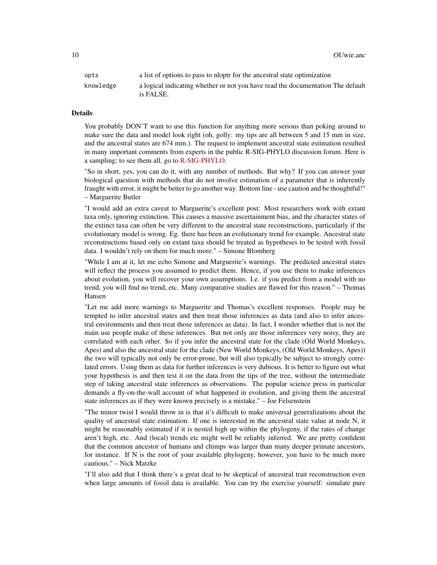10 OUwie.anc

| opts      | a list of options to pass to not for the ancestral state optimization                        |
|-----------|----------------------------------------------------------------------------------------------|
| knowledge | a logical indicating whether or not you have read the documentation The default<br>is FALSE. |

## Details

You probably DON'T want to use this function for anything more serious than poking around to make sure the data and model look right (oh, golly: my tips are all between 5 and 15 mm in size, and the ancestral states are 674 mm.). The request to implement ancestral state estimation resulted in many important comments from experts in the public R-SIG-PHYLO discussion forum. Here is a sampling; to see them all, go to [R-SIG-PHYLO.](https://www.mail-archive.com/r-sig-phylo@r-project.org/msg05257.html)

"So in short, yes, you can do it, with any number of methods. But why? If you can answer your biological question with methods that do not involve estimation of a parameter that is inherently fraught with error, it might be better to go another way. Bottom line - use caution and be thoughtful!" – Marguerite Butler

"I would add an extra caveat to Marguerite's excellent post: Most researchers work with extant taxa only, ignoring extinction. This causes a massive ascertainment bias, and the character states of the extinct taxa can often be very different to the ancestral state reconstructions, particularly if the evolutionary model is wrong. Eg. there has been an evolutionary trend for example. Ancestral state reconstructions based only on extant taxa should be treated as hypotheses to be tested with fossil data. I wouldn't rely on them for much more." – Simone Blomberg

"While I am at it, let me echo Simone and Marguerite's warnings. The predicted ancestral states will reflect the process you assumed to predict them. Hence, if you use them to make inferences about evolution, you will recover your own assumptions. I.e. if you predict from a model with no trend, you will find no trend, etc. Many comparative studies are flawed for this reason." – Thomas Hansen

"Let me add more warnings to Marguerite and Thomas's excellent responses. People may be tempted to infer ancestral states and then treat those inferences as data (and also to infer ancestral environments and then treat those inferences as data). In fact, I wonder whether that is not the main use people make of these inferences. But not only are those inferences very noisy, they are correlated with each other. So if you infer the ancestral state for the clade (Old World Monkeys, Apes) and also the ancestral state for the clade (New World Monkeys, (Old World Monkeys, Apes)) the two will typically not only be error-prone, but will also typically be subject to strongly correlated errors. Using them as data for further inferences is very dubious. It is better to figure out what your hypothesis is and then test it on the data from the tips of the tree, without the intermediate step of taking ancestral state inferences as observations. The popular science press in particular demands a fly-on-the-wall account of what happened in evolution, and giving them the ancestral state inferences as if they were known precisely is a mistake." – Joe Felsenstein

"The minor twist I would throw in is that it's difficult to make universal generalizations about the quality of ancestral state estimation. If one is interested in the ancestral state value at node N, it might be reasonably estimated if it is nested high up within the phylogeny, if the rates of change aren't high, etc. And (local) trends etc might well be reliably inferred. We are pretty confident that the common ancestor of humans and chimps was larger than many deeper primate ancestors, for instance. If N is the root of your available phylogeny, however, you have to be much more cautious." – Nick Matzke

"I'll also add that I think there's a great deal to be skeptical of ancestral trait reconstruction even when large amounts of fossil data is available. You can try the exercise yourself: simulate pure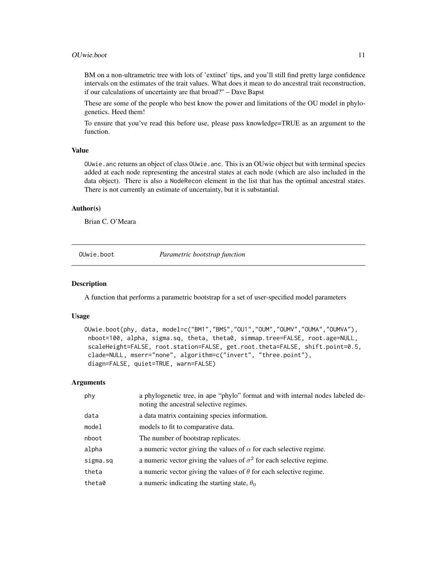#### <span id="page-10-0"></span>OUwie.boot 11

BM on a non-ultrametric tree with lots of 'extinct' tips, and you'll still find pretty large confidence intervals on the estimates of the trait values. What does it mean to do ancestral trait reconstruction, if our calculations of uncertainty are that broad?" – Dave Bapst

These are some of the people who best know the power and limitations of the OU model in phylogenetics. Heed them!

To ensure that you've read this before use, please pass knowledge=TRUE as an argument to the function.

#### Value

OUwie.anc returns an object of class OUwie.anc. This is an OUwie object but with terminal species added at each node representing the ancestral states at each node (which are also included in the data object). There is also a NodeRecon element in the list that has the optimal ancestral states. There is not currently an estimate of uncertainty, but it is substantial.

#### Author(s)

Brian C. O'Meara

OUwie.boot *Parametric bootstrap function*

#### **Description**

A function that performs a parametric bootstrap for a set of user-specified model parameters

#### Usage

```
OUwie.boot(phy, data, model=c("BM1","BMS","OU1","OUM","OUMV","OUMA","OUMVA"),
nboot=100, alpha, sigma.sq, theta, theta0, simmap.tree=FALSE, root.age=NULL,
scaleHeight=FALSE, root.station=FALSE, get.root.theta=FALSE, shift.point=0.5,
clade=NULL, mserr="none", algorithm=c("invert", "three.point"),
diagn=FALSE, quiet=TRUE, warn=FALSE)
```

| phy      | a phylogenetic tree, in ape "phylo" format and with internal nodes labeled de-<br>noting the ancestral selective regimes. |
|----------|---------------------------------------------------------------------------------------------------------------------------|
| data     | a data matrix containing species information.                                                                             |
| model    | models to fit to comparative data.                                                                                        |
| nboot    | The number of bootstrap replicates.                                                                                       |
| alpha    | a numeric vector giving the values of $\alpha$ for each selective regime.                                                 |
| sigma.sq | a numeric vector giving the values of $\sigma^2$ for each selective regime.                                               |
| theta    | a numeric vector giving the values of $\theta$ for each selective regime.                                                 |
| theta0   | a numeric indicating the starting state, $\theta_0$                                                                       |
|          |                                                                                                                           |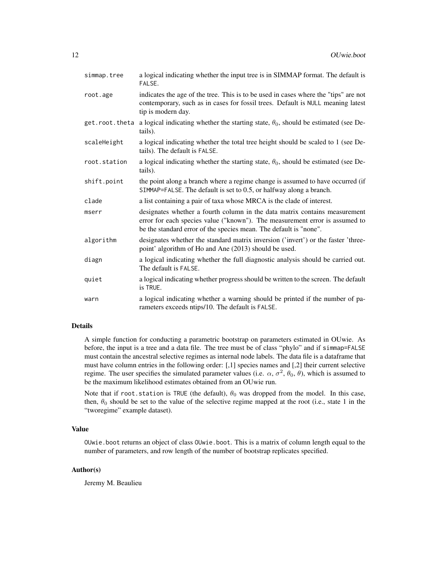| simmap.tree    | a logical indicating whether the input tree is in SIMMAP format. The default is<br>FALSE.                                                                                                                                      |
|----------------|--------------------------------------------------------------------------------------------------------------------------------------------------------------------------------------------------------------------------------|
| root.age       | indicates the age of the tree. This is to be used in cases where the "tips" are not<br>contemporary, such as in cases for fossil trees. Default is NULL meaning latest<br>tip is modern day.                                   |
| get.root.theta | a logical indicating whether the starting state, $\theta_0$ , should be estimated (see De-<br>tails).                                                                                                                          |
| scaleHeight    | a logical indicating whether the total tree height should be scaled to 1 (see De-<br>tails). The default is FALSE.                                                                                                             |
| root.station   | a logical indicating whether the starting state, $\theta_0$ , should be estimated (see De-<br>tails).                                                                                                                          |
| shift.point    | the point along a branch where a regime change is assumed to have occurred (if<br>SIMMAP=FALSE. The default is set to 0.5, or halfway along a branch.                                                                          |
| clade          | a list containing a pair of taxa whose MRCA is the clade of interest.                                                                                                                                                          |
| mserr          | designates whether a fourth column in the data matrix contains measurement<br>error for each species value ("known"). The measurement error is assumed to<br>be the standard error of the species mean. The default is "none". |
| algorithm      | designates whether the standard matrix inversion ('invert') or the faster 'three-<br>point' algorithm of Ho and Ane (2013) should be used.                                                                                     |
| diagn          | a logical indicating whether the full diagnostic analysis should be carried out.<br>The default is FALSE.                                                                                                                      |
| quiet          | a logical indicating whether progress should be written to the screen. The default<br>is TRUE.                                                                                                                                 |
| warn           | a logical indicating whether a warning should be printed if the number of pa-<br>rameters exceeds ntips/10. The default is FALSE.                                                                                              |

A simple function for conducting a parametric bootstrap on parameters estimated in OUwie. As before, the input is a tree and a data file. The tree must be of class "phylo" and if simmap=FALSE must contain the ancestral selective regimes as internal node labels. The data file is a dataframe that must have column entries in the following order: [,1] species names and [,2] their current selective regime. The user specifies the simulated parameter values (i.e.  $\alpha$ ,  $\sigma^2$ ,  $\theta_0$ ,  $\theta$ ), which is assumed to be the maximum likelihood estimates obtained from an OUwie run.

Note that if root. station is TRUE (the default),  $\theta_0$  was dropped from the model. In this case, then,  $\theta_0$  should be set to the value of the selective regime mapped at the root (i.e., state 1 in the "tworegime" example dataset).

#### Value

OUwie.boot returns an object of class OUwie.boot. This is a matrix of column length equal to the number of parameters, and row length of the number of bootstrap replicates specified.

#### Author(s)

Jeremy M. Beaulieu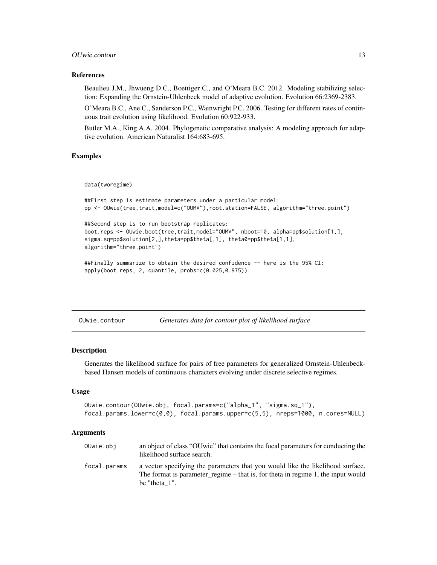## <span id="page-12-0"></span>OUwie.contour 13

#### References

Beaulieu J.M., Jhwueng D.C., Boettiger C., and O'Meara B.C. 2012. Modeling stabilizing selection: Expanding the Ornstein-Uhlenbeck model of adaptive evolution. Evolution 66:2369-2383.

O'Meara B.C., Ane C., Sanderson P.C., Wainwright P.C. 2006. Testing for different rates of continuous trait evolution using likelihood. Evolution 60:922-933.

Butler M.A., King A.A. 2004. Phylogenetic comparative analysis: A modeling approach for adaptive evolution. American Naturalist 164:683-695.

#### Examples

data(tworegime)

```
##First step is estimate parameters under a particular model:
pp <- OUwie(tree,trait,model=c("OUMV"),root.station=FALSE, algorithm="three.point")
```

```
##Second step is to run bootstrap replicates:
boot.reps <- OUwie.boot(tree,trait,model="OUMV", nboot=10, alpha=pp$solution[1,],
sigma.sq=pp$solution[2,],theta=pp$theta[,1], theta0=pp$theta[1,1],
algorithm="three.point")
```

```
##Finally summarize to obtain the desired confidence -- here is the 95% CI:
apply(boot.reps, 2, quantile, probs=c(0.025,0.975))
```

| Generates data for contour plot of likelihood surface<br>OUwie.contour |  |  |  |  |  |
|------------------------------------------------------------------------|--|--|--|--|--|
|------------------------------------------------------------------------|--|--|--|--|--|

#### **Description**

Generates the likelihood surface for pairs of free parameters for generalized Ornstein-Uhlenbeckbased Hansen models of continuous characters evolving under discrete selective regimes.

#### Usage

```
OUwie.contour(OUwie.obj, focal.params=c("alpha_1", "sigma.sq_1"),
focal.params.lower=c(0,0), focal.params.upper=c(5,5), nreps=1000, n.cores=NULL)
```

| OUwie.obj    | an object of class "OU wie" that contains the focal parameters for conducting the<br>likelihood surface search.                                                                        |
|--------------|----------------------------------------------------------------------------------------------------------------------------------------------------------------------------------------|
| focal.params | a vector specifying the parameters that you would like the likelihood surface.<br>The format is parameter regime – that is, for theta in regime 1, the input would<br>be "theta $1$ ". |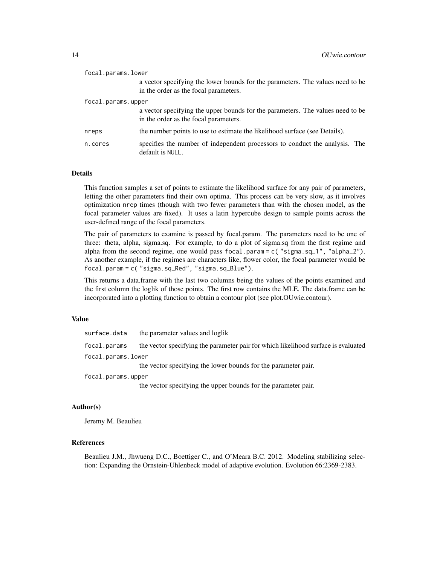| focal.params.lower |                                                                                                                         |
|--------------------|-------------------------------------------------------------------------------------------------------------------------|
|                    | a vector specifying the lower bounds for the parameters. The values need to be<br>in the order as the focal parameters. |
| focal.params.upper |                                                                                                                         |
|                    | a vector specifying the upper bounds for the parameters. The values need to be<br>in the order as the focal parameters. |
| nreps              | the number points to use to estimate the likelihood surface (see Details).                                              |
| n.cores            | specifies the number of independent processors to conduct the analysis. The<br>default is NULL.                         |

This function samples a set of points to estimate the likelihood surface for any pair of parameters, letting the other parameters find their own optima. This process can be very slow, as it involves optimization nrep times (though with two fewer parameters than with the chosen model, as the focal parameter values are fixed). It uses a latin hypercube design to sample points across the user-defined range of the focal parameters.

The pair of parameters to examine is passed by focal.param. The parameters need to be one of three: theta, alpha, sigma.sq. For example, to do a plot of sigma.sq from the first regime and alpha from the second regime, one would pass focal.param = c( "sigma.sq\_1", "alpha\_2"). As another example, if the regimes are characters like, flower color, the focal parameter would be focal.param = c( "sigma.sq\_Red", "sigma.sq\_Blue").

This returns a data.frame with the last two columns being the values of the points examined and the first column the loglik of those points. The first row contains the MLE. The data.frame can be incorporated into a plotting function to obtain a contour plot (see plot.OUwie.contour).

#### Value

surface.data the parameter values and loglik

focal.params the vector specifying the parameter pair for which likelihood surface is evaluated focal.params.lower

the vector specifying the lower bounds for the parameter pair.

focal.params.upper

the vector specifying the upper bounds for the parameter pair.

## Author(s)

Jeremy M. Beaulieu

## References

Beaulieu J.M., Jhwueng D.C., Boettiger C., and O'Meara B.C. 2012. Modeling stabilizing selection: Expanding the Ornstein-Uhlenbeck model of adaptive evolution. Evolution 66:2369-2383.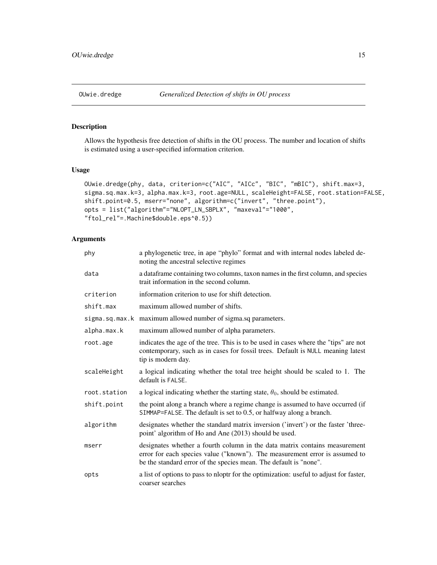## <span id="page-14-0"></span>Description

Allows the hypothesis free detection of shifts in the OU process. The number and location of shifts is estimated using a user-specified information criterion.

## Usage

```
OUwie.dredge(phy, data, criterion=c("AIC", "AICc", "BIC", "mBIC"), shift.max=3,
sigma.sq.max.k=3, alpha.max.k=3, root.age=NULL, scaleHeight=FALSE, root.station=FALSE,
shift.point=0.5, mserr="none", algorithm=c("invert", "three.point"),
opts = list("algorithm"="NLOPT_LN_SBPLX", "maxeval"="1000",
"ftol_rel"=.Machine$double.eps^0.5))
```

| phy          | a phylogenetic tree, in ape "phylo" format and with internal nodes labeled de-<br>noting the ancestral selective regimes                                                                                                       |
|--------------|--------------------------------------------------------------------------------------------------------------------------------------------------------------------------------------------------------------------------------|
| data         | a dataframe containing two columns, taxon names in the first column, and species<br>trait information in the second column.                                                                                                    |
| criterion    | information criterion to use for shift detection.                                                                                                                                                                              |
| shift.max    | maximum allowed number of shifts.                                                                                                                                                                                              |
|              | sigma.sq.max.k maximum allowed number of sigma.sq parameters.                                                                                                                                                                  |
| alpha.max.k  | maximum allowed number of alpha parameters.                                                                                                                                                                                    |
| root.age     | indicates the age of the tree. This is to be used in cases where the "tips" are not<br>contemporary, such as in cases for fossil trees. Default is NULL meaning latest<br>tip is modern day.                                   |
| scaleHeight  | a logical indicating whether the total tree height should be scaled to 1. The<br>default is FALSE.                                                                                                                             |
| root.station | a logical indicating whether the starting state, $\theta_0$ , should be estimated.                                                                                                                                             |
| shift.point  | the point along a branch where a regime change is assumed to have occurred (if<br>SIMMAP=FALSE. The default is set to 0.5, or halfway along a branch.                                                                          |
| algorithm    | designates whether the standard matrix inversion ('invert') or the faster 'three-<br>point' algorithm of Ho and Ane (2013) should be used.                                                                                     |
| mserr        | designates whether a fourth column in the data matrix contains measurement<br>error for each species value ("known"). The measurement error is assumed to<br>be the standard error of the species mean. The default is "none". |
| opts         | a list of options to pass to nloptr for the optimization: useful to adjust for faster,<br>coarser searches                                                                                                                     |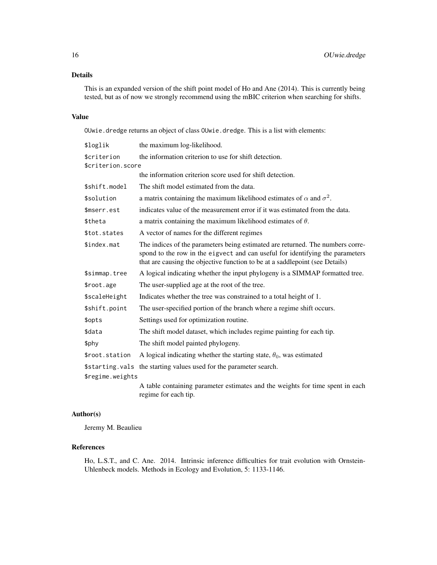This is an expanded version of the shift point model of Ho and Ane (2014). This is currently being tested, but as of now we strongly recommend using the mBIC criterion when searching for shifts.

## Value

OUwie.dredge returns an object of class OUwie.dredge. This is a list with elements:

| \$loglik          | the maximum log-likelihood.                                                                                                                                                                                                                     |
|-------------------|-------------------------------------------------------------------------------------------------------------------------------------------------------------------------------------------------------------------------------------------------|
| \$criterion       | the information criterion to use for shift detection.                                                                                                                                                                                           |
| \$criterion.score |                                                                                                                                                                                                                                                 |
|                   | the information criterion score used for shift detection.                                                                                                                                                                                       |
| \$shift.model     | The shift model estimated from the data.                                                                                                                                                                                                        |
| \$solution        | a matrix containing the maximum likelihood estimates of $\alpha$ and $\sigma^2$ .                                                                                                                                                               |
| \$mserr.est       | indicates value of the measurement error if it was estimated from the data.                                                                                                                                                                     |
| \$theta           | a matrix containing the maximum likelihood estimates of $\theta$ .                                                                                                                                                                              |
| \$tot.states      | A vector of names for the different regimes                                                                                                                                                                                                     |
| \$index.mat       | The indices of the parameters being estimated are returned. The numbers corre-<br>spond to the row in the eigvect and can useful for identifying the parameters<br>that are causing the objective function to be at a saddlepoint (see Details) |
| \$simmap.tree     | A logical indicating whether the input phylogeny is a SIMMAP formatted tree.                                                                                                                                                                    |
| \$root.age        | The user-supplied age at the root of the tree.                                                                                                                                                                                                  |
| \$scaleHeight     | Indicates whether the tree was constrained to a total height of 1.                                                                                                                                                                              |
| \$shift.point     | The user-specified portion of the branch where a regime shift occurs.                                                                                                                                                                           |
| \$opts            | Settings used for optimization routine.                                                                                                                                                                                                         |
| \$data            | The shift model dataset, which includes regime painting for each tip.                                                                                                                                                                           |
| \$phy             | The shift model painted phylogeny.                                                                                                                                                                                                              |
| \$root.station    | A logical indicating whether the starting state, $\theta_0$ , was estimated                                                                                                                                                                     |
|                   | \$starting.vals the starting values used for the parameter search.                                                                                                                                                                              |
| \$regime.weights  |                                                                                                                                                                                                                                                 |
|                   | A table containing parameter estimates and the weights for time spent in each<br>regime for each tip.                                                                                                                                           |

## Author(s)

Jeremy M. Beaulieu

## References

Ho, L.S.T., and C. Ane. 2014. Intrinsic inference difficulties for trait evolution with Ornstein-Uhlenbeck models. Methods in Ecology and Evolution, 5: 1133-1146.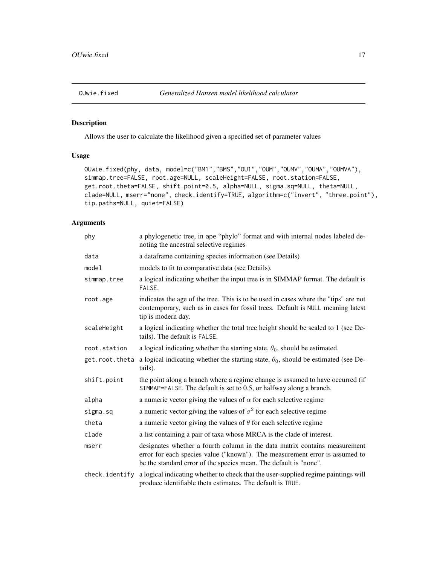<span id="page-16-0"></span>

## Description

Allows the user to calculate the likelihood given a specified set of parameter values

## Usage

```
OUwie.fixed(phy, data, model=c("BM1","BMS","OU1","OUM","OUMV","OUMA","OUMVA"),
simmap.tree=FALSE, root.age=NULL, scaleHeight=FALSE, root.station=FALSE,
get.root.theta=FALSE, shift.point=0.5, alpha=NULL, sigma.sq=NULL, theta=NULL,
clade=NULL, mserr="none", check.identify=TRUE, algorithm=c("invert", "three.point"),
tip.paths=NULL, quiet=FALSE)
```

| phy            | a phylogenetic tree, in ape "phylo" format and with internal nodes labeled de-<br>noting the ancestral selective regimes                                                                                                       |
|----------------|--------------------------------------------------------------------------------------------------------------------------------------------------------------------------------------------------------------------------------|
| data           | a dataframe containing species information (see Details)                                                                                                                                                                       |
| model          | models to fit to comparative data (see Details).                                                                                                                                                                               |
| simmap.tree    | a logical indicating whether the input tree is in SIMMAP format. The default is<br>FALSE.                                                                                                                                      |
| root.age       | indicates the age of the tree. This is to be used in cases where the "tips" are not<br>contemporary, such as in cases for fossil trees. Default is NULL meaning latest<br>tip is modern day.                                   |
| scaleHeight    | a logical indicating whether the total tree height should be scaled to 1 (see De-<br>tails). The default is FALSE.                                                                                                             |
| root.station   | a logical indicating whether the starting state, $\theta_0$ , should be estimated.                                                                                                                                             |
| get.root.theta | a logical indicating whether the starting state, $\theta_0$ , should be estimated (see De-<br>tails).                                                                                                                          |
| shift.point    | the point along a branch where a regime change is assumed to have occurred (if<br>SIMMAP=FALSE. The default is set to 0.5, or halfway along a branch.                                                                          |
| alpha          | a numeric vector giving the values of $\alpha$ for each selective regime                                                                                                                                                       |
| sigma.sq       | a numeric vector giving the values of $\sigma^2$ for each selective regime                                                                                                                                                     |
| theta          | a numeric vector giving the values of $\theta$ for each selective regime                                                                                                                                                       |
| clade          | a list containing a pair of taxa whose MRCA is the clade of interest.                                                                                                                                                          |
| mserr          | designates whether a fourth column in the data matrix contains measurement<br>error for each species value ("known"). The measurement error is assumed to<br>be the standard error of the species mean. The default is "none". |
| check.identify | a logical indicating whether to check that the user-supplied regime paintings will<br>produce identifiable theta estimates. The default is TRUE.                                                                               |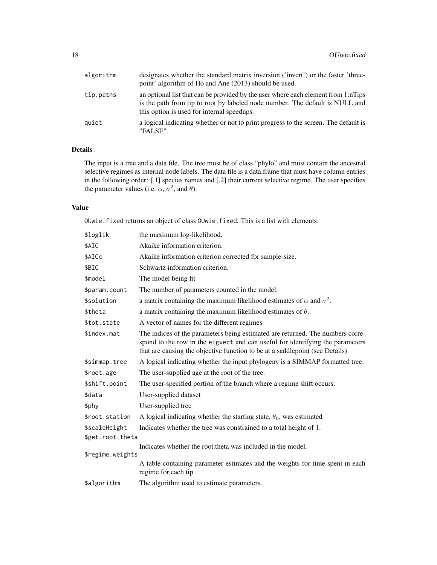| algorithm | designates whether the standard matrix inversion ('invert') or the faster 'three-<br>point' algorithm of Ho and Ane (2013) should be used.                                                                      |
|-----------|-----------------------------------------------------------------------------------------------------------------------------------------------------------------------------------------------------------------|
| tip.paths | an optional list that can be provided by the user where each element from 1:nTips<br>is the path from tip to root by labeled node number. The default is NULL and<br>this option is used for internal speedups. |
| quiet     | a logical indicating whether or not to print progress to the screen. The default is<br>"FALSE".                                                                                                                 |

The input is a tree and a data file. The tree must be of class "phylo" and must contain the ancestral selective regimes as internal node labels. The data file is a data.frame that must have column entries in the following order: [,1] species names and [,2] their current selective regime. The user specifies the parameter values (i.e.  $\alpha$ ,  $\sigma^2$ , and  $\theta$ ).

## Value

OUwie.fixed returns an object of class OUwie.fixed. This is a list with elements:

| \$loglik         | the maximum log-likelihood.                                                                                                                                                                                                                     |  |
|------------------|-------------------------------------------------------------------------------------------------------------------------------------------------------------------------------------------------------------------------------------------------|--|
| \$AIC            | Akaike information criterion.                                                                                                                                                                                                                   |  |
| \$AICc           | Akaike information criterion corrected for sample-size.                                                                                                                                                                                         |  |
| \$BIC            | Schwartz information criterion.                                                                                                                                                                                                                 |  |
| \$model          | The model being fit                                                                                                                                                                                                                             |  |
| \$param.count    | The number of parameters counted in the model.                                                                                                                                                                                                  |  |
| \$solution       | a matrix containing the maximum likelihood estimates of $\alpha$ and $\sigma^2$ .                                                                                                                                                               |  |
| \$theta          | a matrix containing the maximum likelihood estimates of $\theta$ .                                                                                                                                                                              |  |
| \$tot.state      | A vector of names for the different regimes                                                                                                                                                                                                     |  |
| \$index.mat      | The indices of the parameters being estimated are returned. The numbers corre-<br>spond to the row in the eigvect and can useful for identifying the parameters<br>that are causing the objective function to be at a saddlepoint (see Details) |  |
| \$simmap.tree    | A logical indicating whether the input phylogeny is a SIMMAP formatted tree.                                                                                                                                                                    |  |
| \$root.age       | The user-supplied age at the root of the tree.                                                                                                                                                                                                  |  |
| \$shift.point    | The user-specified portion of the branch where a regime shift occurs.                                                                                                                                                                           |  |
| \$data           | User-supplied dataset                                                                                                                                                                                                                           |  |
| \$phy            | User-supplied tree                                                                                                                                                                                                                              |  |
| \$root.station   | A logical indicating whether the starting state, $\theta_0$ , was estimated                                                                                                                                                                     |  |
| \$scaleHeight    | Indicates whether the tree was constrained to a total height of 1.                                                                                                                                                                              |  |
| \$get.root.theta |                                                                                                                                                                                                                                                 |  |
| \$regime.weights | Indicates whether the root.theta was included in the model.                                                                                                                                                                                     |  |
|                  | A table containing parameter estimates and the weights for time spent in each<br>regime for each tip.                                                                                                                                           |  |
| \$algorithm      | The algorithm used to estimate parameters.                                                                                                                                                                                                      |  |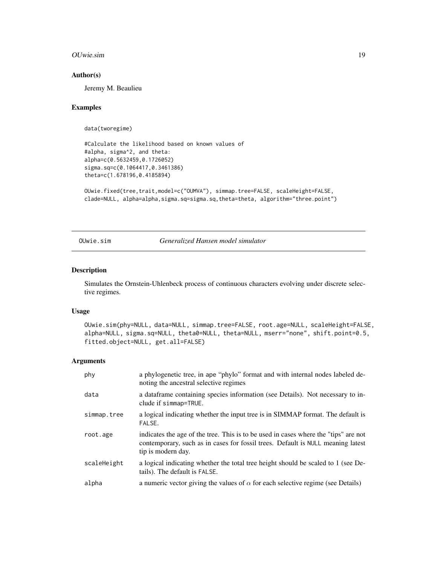#### <span id="page-18-0"></span>OUwie.sim 19

#### Author(s)

Jeremy M. Beaulieu

#### Examples

data(tworegime)

```
#Calculate the likelihood based on known values of
#alpha, sigma^2, and theta:
alpha=c(0.5632459,0.1726052)
sigma.sq=c(0.1064417,0.3461386)
theta=c(1.678196,0.4185894)
```

```
OUwie.fixed(tree,trait,model=c("OUMVA"), simmap.tree=FALSE, scaleHeight=FALSE,
clade=NULL, alpha=alpha,sigma.sq=sigma.sq,theta=theta, algorithm="three.point")
```
OUwie.sim *Generalized Hansen model simulator*

## Description

Simulates the Ornstein-Uhlenbeck process of continuous characters evolving under discrete selective regimes.

#### Usage

```
OUwie.sim(phy=NULL, data=NULL, simmap.tree=FALSE, root.age=NULL, scaleHeight=FALSE,
alpha=NULL, sigma.sq=NULL, theta0=NULL, theta=NULL, mserr="none", shift.point=0.5,
fitted.object=NULL, get.all=FALSE)
```

| phy         | a phylogenetic tree, in ape "phylo" format and with internal nodes labeled de-<br>noting the ancestral selective regimes                                                                     |
|-------------|----------------------------------------------------------------------------------------------------------------------------------------------------------------------------------------------|
| data        | a dataframe containing species information (see Details). Not necessary to in-<br>clude if simmap=TRUE.                                                                                      |
| simmap.tree | a logical indicating whether the input tree is in SIMMAP format. The default is<br>FALSE.                                                                                                    |
| root.age    | indicates the age of the tree. This is to be used in cases where the "tips" are not<br>contemporary, such as in cases for fossil trees. Default is NULL meaning latest<br>tip is modern day. |
| scaleHeight | a logical indicating whether the total tree height should be scaled to 1 (see De-<br>tails). The default is FALSE.                                                                           |
| alpha       | a numeric vector giving the values of $\alpha$ for each selective regime (see Details)                                                                                                       |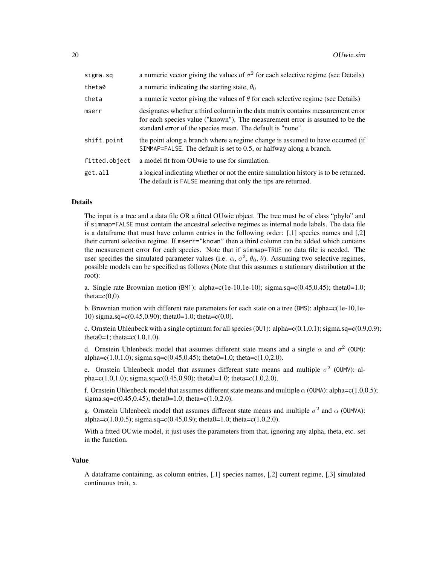| sigma.sq      | a numeric vector giving the values of $\sigma^2$ for each selective regime (see Details)                                                                                                                                      |
|---------------|-------------------------------------------------------------------------------------------------------------------------------------------------------------------------------------------------------------------------------|
| theta0        | a numeric indicating the starting state, $\theta_0$                                                                                                                                                                           |
| theta         | a numeric vector giving the values of $\theta$ for each selective regime (see Details)                                                                                                                                        |
| mserr         | designates whether a third column in the data matrix contains measurement error<br>for each species value ("known"). The measurement error is assumed to be the<br>standard error of the species mean. The default is "none". |
| shift.point   | the point along a branch where a regime change is assumed to have occurred (if<br>SIMMAP=FALSE. The default is set to $0.5$ , or halfway along a branch.                                                                      |
| fitted.object | a model fit from OU wie to use for simulation.                                                                                                                                                                                |
| get.all       | a logical indicating whether or not the entire simulation history is to be returned.<br>The default is FALSE meaning that only the tips are returned.                                                                         |

The input is a tree and a data file OR a fitted OUwie object. The tree must be of class "phylo" and if simmap=FALSE must contain the ancestral selective regimes as internal node labels. The data file is a dataframe that must have column entries in the following order:  $\lceil 1 \rceil$  species names and  $\lceil 2 \rceil$ their current selective regime. If mserr="known" then a third column can be added which contains the measurement error for each species. Note that if simmap=TRUE no data file is needed. The user specifies the simulated parameter values (i.e.  $\alpha$ ,  $\sigma^2$ ,  $\theta_0$ ,  $\theta$ ). Assuming two selective regimes, possible models can be specified as follows (Note that this assumes a stationary distribution at the root):

a. Single rate Brownian motion (BM1):  $\alpha = c(1e-10,1e-10)$ ; sigma.sq=c(0.45,0.45); theta0=1.0; theta= $c(0,0)$ .

b. Brownian motion with different rate parameters for each state on a tree (BMS): alpha=c(1e-10,1e-10) sigma.sq=c(0.45,0.90); theta $0=1.0$ ; theta=c(0,0).

c. Ornstein Uhlenbeck with a single optimum for all species (001): alpha=c(0.1,0.1); sigma.sq=c(0.9,0.9); theta $0=1$ ; theta=c(1.0,1.0).

d. Ornstein Uhlenbeck model that assumes different state means and a single  $\alpha$  and  $\sigma^2$  (OUM): alpha=c(1.0,1.0); sigma.sq=c(0.45,0.45); theta0=1.0; theta=c(1.0,2.0).

e. Ornstein Uhlenbeck model that assumes different state means and multiple  $\sigma^2$  (OUMV): alpha=c(1.0,1.0); sigma.sq=c(0.45,0.90); theta $0=1.0$ ; theta=c(1.0,2.0).

f. Ornstein Uhlenbeck model that assumes different state means and multiple  $\alpha$  (OUMA): alpha=c(1.0,0.5); sigma.sq=c(0.45,0.45); theta0=1.0; theta=c(1.0,2.0).

g. Ornstein Uhlenbeck model that assumes different state means and multiple  $\sigma^2$  and  $\alpha$  (OUMVA): alpha=c(1.0,0.5); sigma.sq=c(0.45,0.9); theta0=1.0; theta=c(1.0,2.0).

With a fitted OUwie model, it just uses the parameters from that, ignoring any alpha, theta, etc. set in the function.

#### Value

A dataframe containing, as column entries, [,1] species names, [,2] current regime, [,3] simulated continuous trait, x.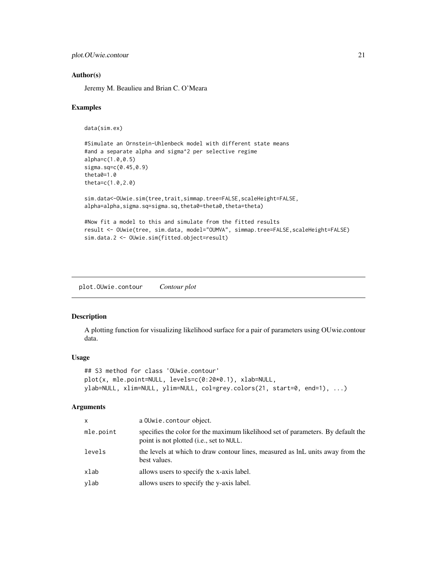```
plot.OUwie.contour 21
```
#### Author(s)

Jeremy M. Beaulieu and Brian C. O'Meara

#### Examples

```
data(sim.ex)
```

```
#Simulate an Ornstein-Uhlenbeck model with different state means
#and a separate alpha and sigma^2 per selective regime
alpha=c(1.0,0.5)
sigma.sq=c(0.45,0.9)
theta0=1.0
theta=c(1.0,2.0)
sim.data<-OUwie.sim(tree,trait,simmap.tree=FALSE,scaleHeight=FALSE,
alpha=alpha,sigma.sq=sigma.sq,theta0=theta0,theta=theta)
#Now fit a model to this and simulate from the fitted results
result <- OUwie(tree, sim.data, model="OUMVA", simmap.tree=FALSE,scaleHeight=FALSE)
sim.data.2 <- OUwie.sim(fitted.object=result)
```
plot.OUwie.contour *Contour plot*

## Description

A plotting function for visualizing likelihood surface for a pair of parameters using OUwie.contour data.

#### Usage

```
## S3 method for class 'OUwie.contour'
plot(x, mle.point=NULL, levels=c(0:20*0.1), xlab=NULL,
ylab=NULL, xlim=NULL, ylim=NULL, col=grey.colors(21, start=0, end=1), ...)
```

| x         | a OUwie.contour object.                                                                                                      |
|-----------|------------------------------------------------------------------------------------------------------------------------------|
| mle.point | specifies the color for the maximum likelihood set of parameters. By default the<br>point is not plotted (i.e., set to NULL. |
| levels    | the levels at which to draw contour lines, measured as lnL units away from the<br>best values.                               |
| xlab      | allows users to specify the x-axis label.                                                                                    |
| ylab      | allows users to specify the y-axis label.                                                                                    |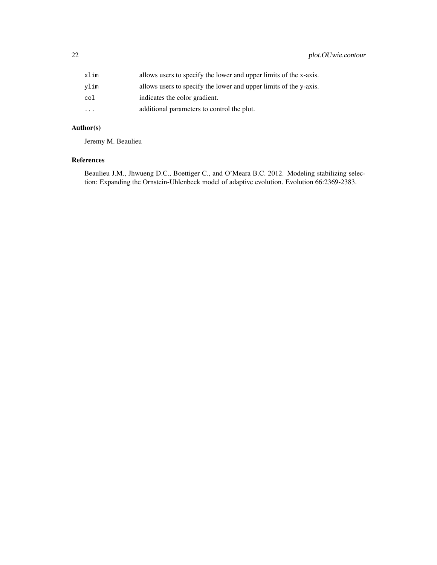| xlim      | allows users to specify the lower and upper limits of the x-axis. |
|-----------|-------------------------------------------------------------------|
| vlim      | allows users to specify the lower and upper limits of the y-axis. |
| col       | indicates the color gradient.                                     |
| $\ddotsc$ | additional parameters to control the plot.                        |

## Author(s)

Jeremy M. Beaulieu

## References

Beaulieu J.M., Jhwueng D.C., Boettiger C., and O'Meara B.C. 2012. Modeling stabilizing selection: Expanding the Ornstein-Uhlenbeck model of adaptive evolution. Evolution 66:2369-2383.